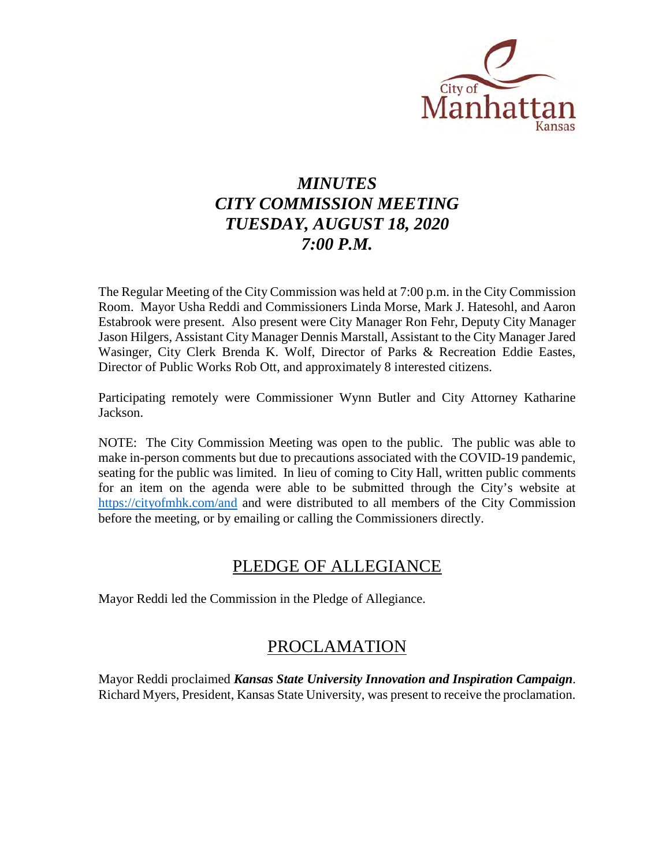

# *MINUTES CITY COMMISSION MEETING TUESDAY, AUGUST 18, 2020 7:00 P.M.*

The Regular Meeting of the City Commission was held at 7:00 p.m. in the City Commission Room. Mayor Usha Reddi and Commissioners Linda Morse, Mark J. Hatesohl, and Aaron Estabrook were present. Also present were City Manager Ron Fehr, Deputy City Manager Jason Hilgers, Assistant City Manager Dennis Marstall, Assistant to the City Manager Jared Wasinger, City Clerk Brenda K. Wolf, Director of Parks & Recreation Eddie Eastes, Director of Public Works Rob Ott, and approximately 8 interested citizens.

Participating remotely were Commissioner Wynn Butler and City Attorney Katharine Jackson.

NOTE: The City Commission Meeting was open to the public. The public was able to make in-person comments but due to precautions associated with the COVID-19 pandemic, seating for the public was limited. In lieu of coming to City Hall, written public comments for an item on the agenda were able to be submitted through the City's website at <https://cityofmhk.com/and> and were distributed to all members of the City Commission before the meeting, or by emailing or calling the Commissioners directly.

## PLEDGE OF ALLEGIANCE

Mayor Reddi led the Commission in the Pledge of Allegiance.

## PROCLAMATION

Mayor Reddi proclaimed *Kansas State University Innovation and Inspiration Campaign*. Richard Myers, President, Kansas State University, was present to receive the proclamation.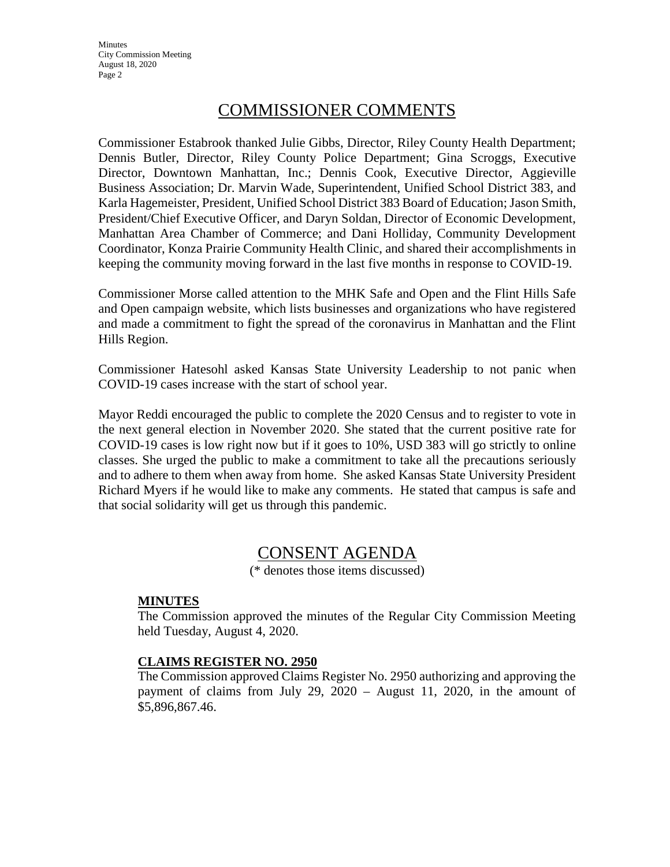**Minutes** City Commission Meeting August 18, 2020 Page 2

## COMMISSIONER COMMENTS

Commissioner Estabrook thanked Julie Gibbs, Director, Riley County Health Department; Dennis Butler, Director, Riley County Police Department; Gina Scroggs, Executive Director, Downtown Manhattan, Inc.; Dennis Cook, Executive Director, Aggieville Business Association; Dr. Marvin Wade, Superintendent, Unified School District 383, and Karla Hagemeister, President, Unified School District 383 Board of Education; Jason Smith, President/Chief Executive Officer, and Daryn Soldan, Director of Economic Development, Manhattan Area Chamber of Commerce; and Dani Holliday, Community Development Coordinator, Konza Prairie Community Health Clinic, and shared their accomplishments in keeping the community moving forward in the last five months in response to COVID-19.

Commissioner Morse called attention to the MHK Safe and Open and the Flint Hills Safe and Open campaign website, which lists businesses and organizations who have registered and made a commitment to fight the spread of the coronavirus in Manhattan and the Flint Hills Region.

Commissioner Hatesohl asked Kansas State University Leadership to not panic when COVID-19 cases increase with the start of school year.

Mayor Reddi encouraged the public to complete the 2020 Census and to register to vote in the next general election in November 2020. She stated that the current positive rate for COVID-19 cases is low right now but if it goes to 10%, USD 383 will go strictly to online classes. She urged the public to make a commitment to take all the precautions seriously and to adhere to them when away from home. She asked Kansas State University President Richard Myers if he would like to make any comments. He stated that campus is safe and that social solidarity will get us through this pandemic.

## CONSENT AGENDA

(\* denotes those items discussed)

## **MINUTES**

The Commission approved the minutes of the Regular City Commission Meeting held Tuesday, August 4, 2020.

## **CLAIMS REGISTER NO. 2950**

The Commission approved Claims Register No. 2950 authorizing and approving the payment of claims from July 29, 2020 – August 11, 2020, in the amount of \$5,896,867.46.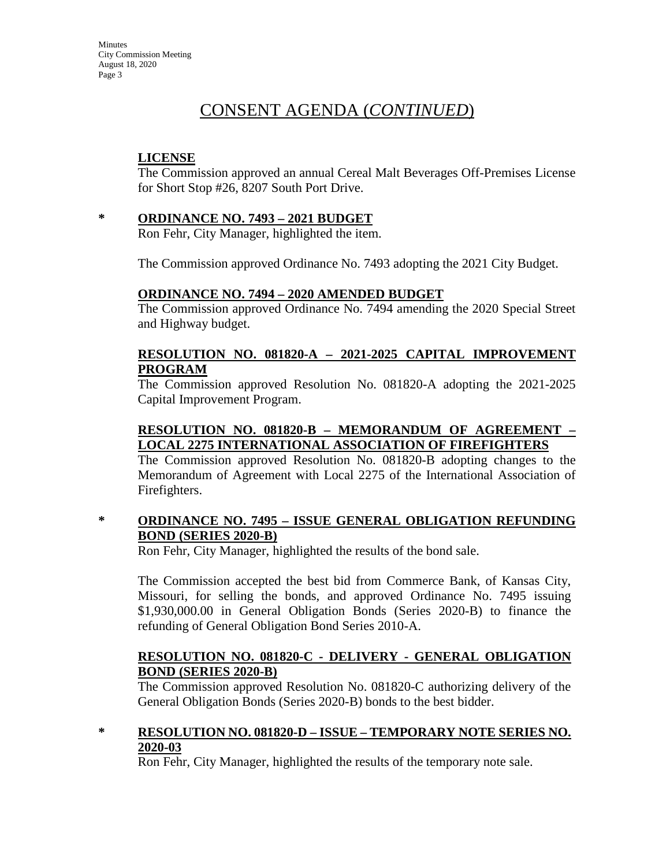**Minutes** City Commission Meeting August 18, 2020 Page 3

## CONSENT AGENDA (*CONTINUED*)

## **LICENSE**

The Commission approved an annual Cereal Malt Beverages Off-Premises License for Short Stop #26, 8207 South Port Drive.

**\* ORDINANCE NO. 7493 – 2021 BUDGET** 

Ron Fehr, City Manager, highlighted the item.

The Commission approved Ordinance No. 7493 adopting the 2021 City Budget.

## **ORDINANCE NO. 7494 – 2020 AMENDED BUDGET**

The Commission approved Ordinance No. 7494 amending the 2020 Special Street and Highway budget.

## **RESOLUTION NO. 081820-A – 2021-2025 CAPITAL IMPROVEMENT PROGRAM**

The Commission approved Resolution No. 081820-A adopting the 2021-2025 Capital Improvement Program.

## **RESOLUTION NO. 081820-B – MEMORANDUM OF AGREEMENT – LOCAL 2275 INTERNATIONAL ASSOCIATION OF FIREFIGHTERS**

The Commission approved Resolution No. 081820-B adopting changes to the Memorandum of Agreement with Local 2275 of the International Association of Firefighters.

## **\* ORDINANCE NO. 7495 – ISSUE GENERAL OBLIGATION REFUNDING BOND (SERIES 2020-B)**

Ron Fehr, City Manager, highlighted the results of the bond sale.

The Commission accepted the best bid from Commerce Bank, of Kansas City, Missouri, for selling the bonds, and approved Ordinance No. 7495 issuing \$1,930,000.00 in General Obligation Bonds (Series 2020-B) to finance the refunding of General Obligation Bond Series 2010-A.

## **RESOLUTION NO. 081820-C - DELIVERY - GENERAL OBLIGATION BOND (SERIES 2020-B)**

The Commission approved Resolution No. 081820-C authorizing delivery of the General Obligation Bonds (Series 2020-B) bonds to the best bidder.

## **\* RESOLUTION NO. 081820-D – ISSUE – TEMPORARY NOTE SERIES NO. 2020-03**

Ron Fehr, City Manager, highlighted the results of the temporary note sale.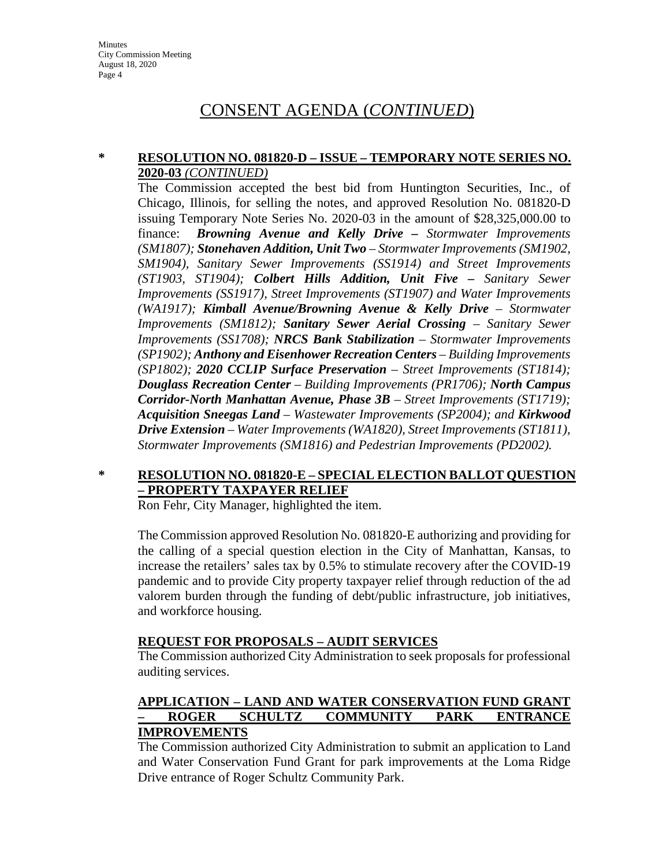## CONSENT AGENDA (*CONTINUED*)

#### **\* RESOLUTION NO. 081820-D – ISSUE – TEMPORARY NOTE SERIES NO. 2020-03** *(CONTINUED)*

The Commission accepted the best bid from Huntington Securities, Inc., of Chicago, Illinois, for selling the notes, and approved Resolution No. 081820-D issuing Temporary Note Series No. 2020-03 in the amount of \$28,325,000.00 to finance: *Browning Avenue and Kelly Drive – Stormwater Improvements (SM1807); Stonehaven Addition, Unit Two – Stormwater Improvements (SM1902, SM1904), Sanitary Sewer Improvements (SS1914) and Street Improvements (ST1903, ST1904); Colbert Hills Addition, Unit Five – Sanitary Sewer Improvements (SS1917), Street Improvements (ST1907) and Water Improvements (WA1917); Kimball Avenue/Browning Avenue & Kelly Drive – Stormwater Improvements (SM1812); Sanitary Sewer Aerial Crossing – Sanitary Sewer Improvements (SS1708); NRCS Bank Stabilization – Stormwater Improvements (SP1902); Anthony and Eisenhower Recreation Centers – Building Improvements (SP1802); 2020 CCLIP Surface Preservation – Street Improvements (ST1814); Douglass Recreation Center – Building Improvements (PR1706); North Campus Corridor-North Manhattan Avenue, Phase 3B – Street Improvements (ST1719); Acquisition Sneegas Land – Wastewater Improvements (SP2004); and Kirkwood Drive Extension – Water Improvements (WA1820), Street Improvements (ST1811), Stormwater Improvements (SM1816) and Pedestrian Improvements (PD2002).*

## **\* RESOLUTION NO. 081820-E – SPECIAL ELECTION BALLOT QUESTION – PROPERTY TAXPAYER RELIEF**

Ron Fehr, City Manager, highlighted the item.

The Commission approved Resolution No. 081820-E authorizing and providing for the calling of a special question election in the City of Manhattan, Kansas, to increase the retailers' sales tax by 0.5% to stimulate recovery after the COVID-19 pandemic and to provide City property taxpayer relief through reduction of the ad valorem burden through the funding of debt/public infrastructure, job initiatives, and workforce housing.

## **REQUEST FOR PROPOSALS – AUDIT SERVICES**

The Commission authorized City Administration to seek proposals for professional auditing services.

## **APPLICATION – LAND AND WATER CONSERVATION FUND GRANT – ROGER SCHULTZ COMMUNITY PARK ENTRANCE IMPROVEMENTS**

The Commission authorized City Administration to submit an application to Land and Water Conservation Fund Grant for park improvements at the Loma Ridge Drive entrance of Roger Schultz Community Park.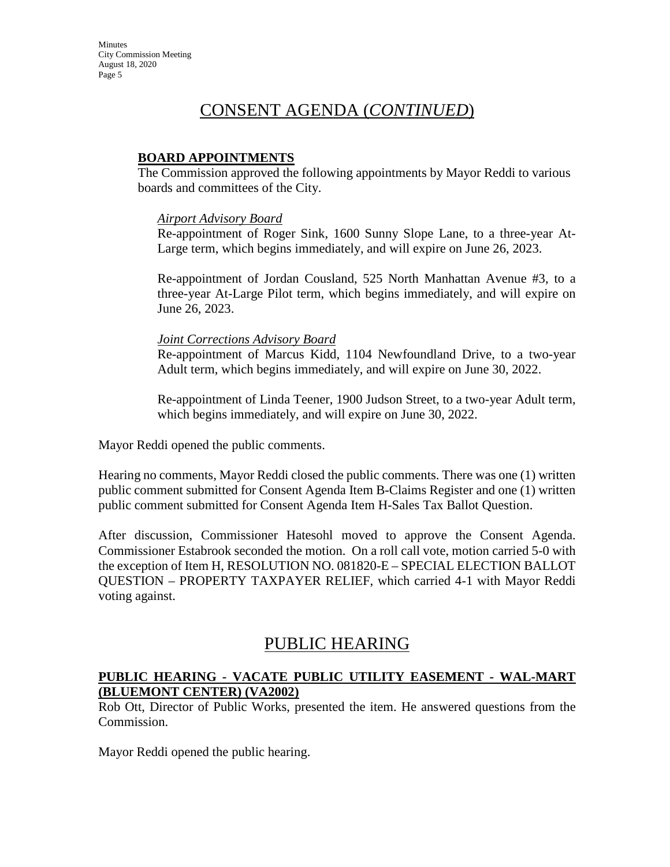## CONSENT AGENDA (*CONTINUED*)

### **BOARD APPOINTMENTS**

The Commission approved the following appointments by Mayor Reddi to various boards and committees of the City.

#### *Airport Advisory Board*

Re-appointment of Roger Sink, 1600 Sunny Slope Lane, to a three-year At-Large term, which begins immediately, and will expire on June 26, 2023.

Re-appointment of Jordan Cousland, 525 North Manhattan Avenue #3, to a three-year At-Large Pilot term, which begins immediately, and will expire on June 26, 2023.

#### *Joint Corrections Advisory Board*

Re-appointment of Marcus Kidd, 1104 Newfoundland Drive, to a two-year Adult term, which begins immediately, and will expire on June 30, 2022.

Re-appointment of Linda Teener, 1900 Judson Street, to a two-year Adult term, which begins immediately, and will expire on June 30, 2022.

Mayor Reddi opened the public comments.

Hearing no comments, Mayor Reddi closed the public comments. There was one (1) written public comment submitted for Consent Agenda Item B-Claims Register and one (1) written public comment submitted for Consent Agenda Item H-Sales Tax Ballot Question.

After discussion, Commissioner Hatesohl moved to approve the Consent Agenda. Commissioner Estabrook seconded the motion. On a roll call vote, motion carried 5-0 with the exception of Item H, RESOLUTION NO. 081820-E – SPECIAL ELECTION BALLOT QUESTION – PROPERTY TAXPAYER RELIEF, which carried 4-1 with Mayor Reddi voting against.

## PUBLIC HEARING

## **PUBLIC HEARING - VACATE PUBLIC UTILITY EASEMENT - WAL-MART (BLUEMONT CENTER) (VA2002)**

Rob Ott, Director of Public Works, presented the item. He answered questions from the Commission.

Mayor Reddi opened the public hearing.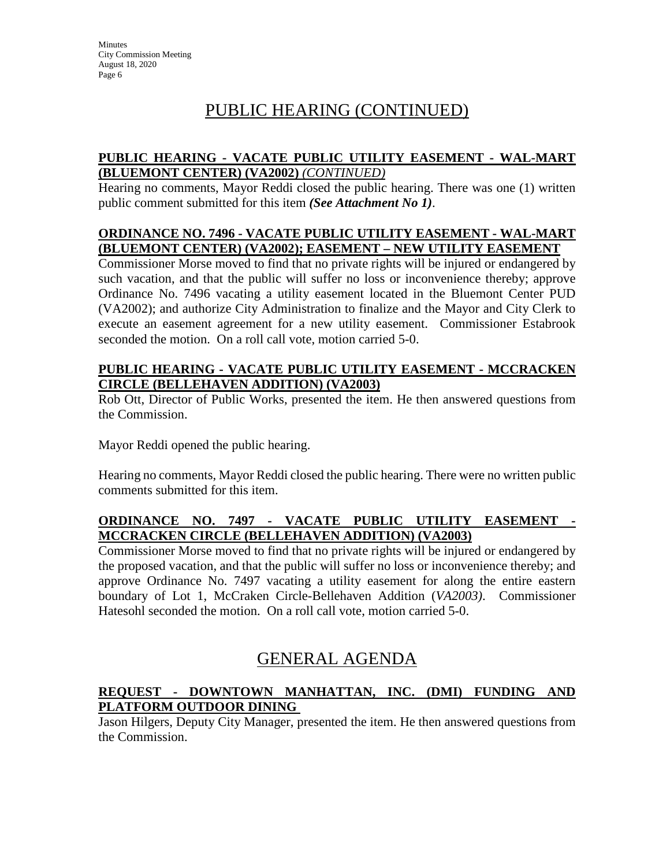# PUBLIC HEARING (CONTINUED)

## **PUBLIC HEARING - VACATE PUBLIC UTILITY EASEMENT - WAL-MART (BLUEMONT CENTER) (VA2002)** *(CONTINUED)*

Hearing no comments, Mayor Reddi closed the public hearing. There was one (1) written public comment submitted for this item *(See Attachment No 1)*.

## **ORDINANCE NO. 7496 - VACATE PUBLIC UTILITY EASEMENT - WAL-MART (BLUEMONT CENTER) (VA2002); EASEMENT – NEW UTILITY EASEMENT**

Commissioner Morse moved to find that no private rights will be injured or endangered by such vacation, and that the public will suffer no loss or inconvenience thereby; approve Ordinance No. 7496 vacating a utility easement located in the Bluemont Center PUD (VA2002); and authorize City Administration to finalize and the Mayor and City Clerk to execute an easement agreement for a new utility easement. Commissioner Estabrook seconded the motion. On a roll call vote, motion carried 5-0.

## **PUBLIC HEARING - VACATE PUBLIC UTILITY EASEMENT - MCCRACKEN CIRCLE (BELLEHAVEN ADDITION) (VA2003)**

Rob Ott, Director of Public Works, presented the item. He then answered questions from the Commission.

Mayor Reddi opened the public hearing.

Hearing no comments, Mayor Reddi closed the public hearing. There were no written public comments submitted for this item.

## **ORDINANCE NO. 7497 - VACATE PUBLIC UTILITY EASEMENT - MCCRACKEN CIRCLE (BELLEHAVEN ADDITION) (VA2003)**

Commissioner Morse moved to find that no private rights will be injured or endangered by the proposed vacation, and that the public will suffer no loss or inconvenience thereby; and approve Ordinance No. 7497 vacating a utility easement for along the entire eastern boundary of Lot 1, McCraken Circle-Bellehaven Addition (*VA2003)*. Commissioner Hatesohl seconded the motion. On a roll call vote, motion carried 5-0.

# GENERAL AGENDA

## **REQUEST - DOWNTOWN MANHATTAN, INC. (DMI) FUNDING AND PLATFORM OUTDOOR DINING**

Jason Hilgers, Deputy City Manager, presented the item. He then answered questions from the Commission.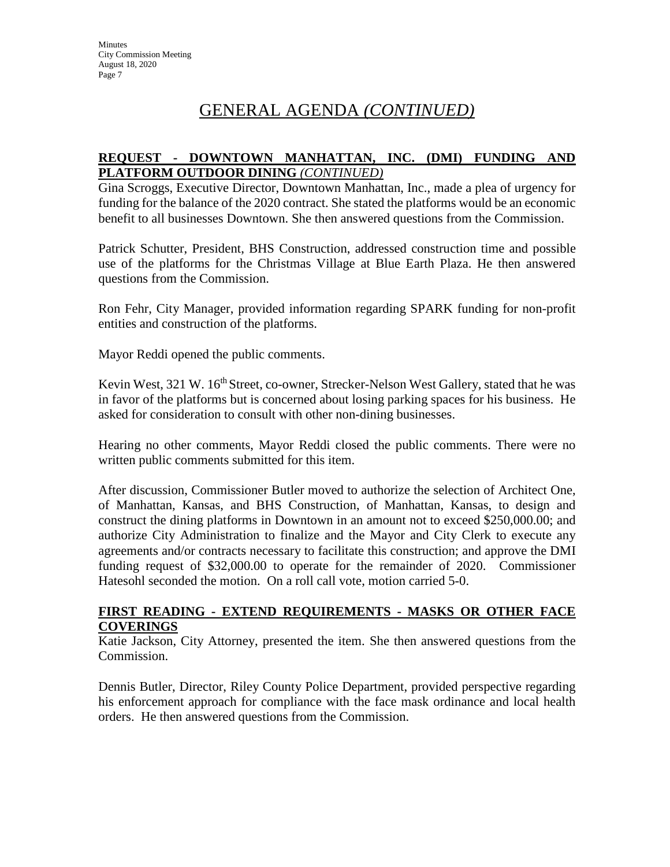# GENERAL AGENDA *(CONTINUED)*

### **REQUEST - DOWNTOWN MANHATTAN, INC. (DMI) FUNDING AND PLATFORM OUTDOOR DINING** *(CONTINUED)*

Gina Scroggs, Executive Director, Downtown Manhattan, Inc., made a plea of urgency for funding for the balance of the 2020 contract. She stated the platforms would be an economic benefit to all businesses Downtown. She then answered questions from the Commission.

Patrick Schutter, President, BHS Construction, addressed construction time and possible use of the platforms for the Christmas Village at Blue Earth Plaza. He then answered questions from the Commission.

Ron Fehr, City Manager, provided information regarding SPARK funding for non-profit entities and construction of the platforms.

Mayor Reddi opened the public comments.

Kevin West, 321 W. 16<sup>th</sup> Street, co-owner, Strecker-Nelson West Gallery, stated that he was in favor of the platforms but is concerned about losing parking spaces for his business. He asked for consideration to consult with other non-dining businesses.

Hearing no other comments, Mayor Reddi closed the public comments. There were no written public comments submitted for this item.

After discussion, Commissioner Butler moved to authorize the selection of Architect One, of Manhattan, Kansas, and BHS Construction, of Manhattan, Kansas, to design and construct the dining platforms in Downtown in an amount not to exceed \$250,000.00; and authorize City Administration to finalize and the Mayor and City Clerk to execute any agreements and/or contracts necessary to facilitate this construction; and approve the DMI funding request of \$32,000.00 to operate for the remainder of 2020. Commissioner Hatesohl seconded the motion. On a roll call vote, motion carried 5-0.

## **FIRST READING - EXTEND REQUIREMENTS - MASKS OR OTHER FACE COVERINGS**

Katie Jackson, City Attorney, presented the item. She then answered questions from the Commission.

Dennis Butler, Director, Riley County Police Department, provided perspective regarding his enforcement approach for compliance with the face mask ordinance and local health orders. He then answered questions from the Commission.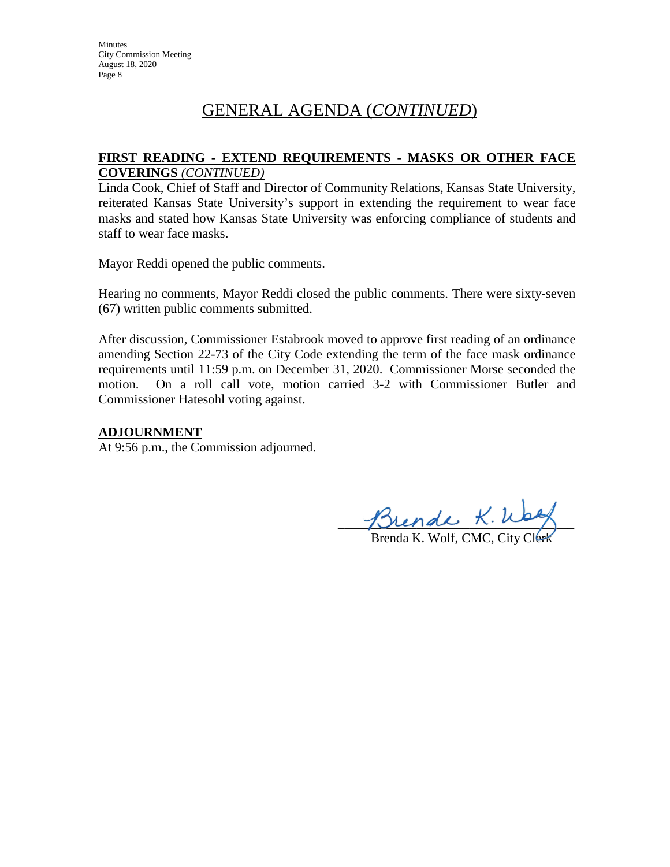# GENERAL AGENDA (*CONTINUED*)

### **FIRST READING - EXTEND REQUIREMENTS - MASKS OR OTHER FACE COVERINGS** *(CONTINUED)*

Linda Cook, Chief of Staff and Director of Community Relations, Kansas State University, reiterated Kansas State University's support in extending the requirement to wear face masks and stated how Kansas State University was enforcing compliance of students and staff to wear face masks.

Mayor Reddi opened the public comments.

Hearing no comments, Mayor Reddi closed the public comments. There were sixty-seven (67) written public comments submitted.

After discussion, Commissioner Estabrook moved to approve first reading of an ordinance amending Section 22-73 of the City Code extending the term of the face mask ordinance requirements until 11:59 p.m. on December 31, 2020. Commissioner Morse seconded the motion. On a roll call vote, motion carried 3-2 with Commissioner Butler and Commissioner Hatesohl voting against.

## **ADJOURNMENT**

At 9:56 p.m., the Commission adjourned.

Thenal n. way

Brenda K. Wolf, CMC, City Clerk